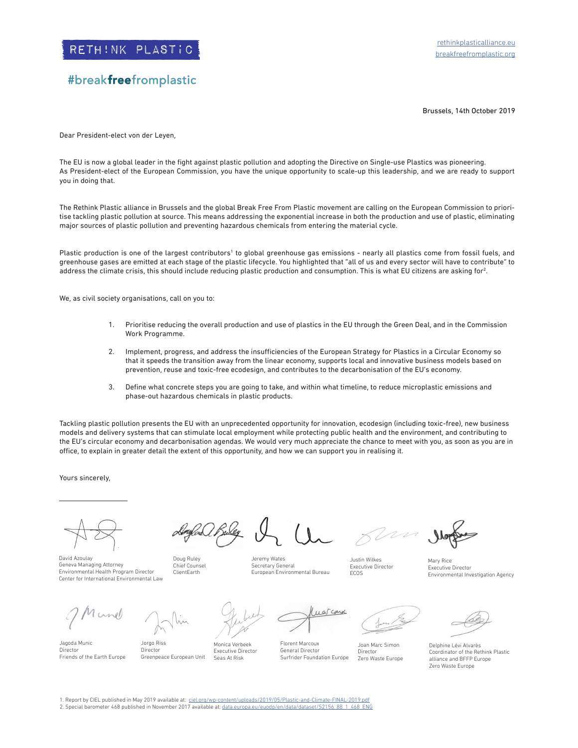## #breakfreefromplastic

Brussels, 14th October 2019

Dear President-elect von der Leyen,

The EU is now a global leader in the fight against plastic pollution and adopting the Directive on Single-use Plastics was pioneering. As President-elect of the European Commission, you have the unique opportunity to scale-up this leadership, and we are ready to support you in doing that.

The Rethink Plastic alliance in Brussels and the global Break Free From Plastic movement are calling on the European Commission to prioritise tackling plastic pollution at source. This means addressing the exponential increase in both the production and use of plastic, eliminating major sources of plastic pollution and preventing hazardous chemicals from entering the material cycle.

Plastic production is one of the largest contributors<sup>1</sup> to global greenhouse gas emissions - nearly all plastics come from fossil fuels, and greenhouse gases are emitted at each stage of the plastic lifecycle. You highlighted that "all of us and every sector will have to contribute" to address the climate crisis, this should include reducing plastic production and consumption. This is what EU citizens are asking for $^2$ .

We, as civil society organisations, call on you to:

- 1. Prioritise reducing the overall production and use of plastics in the EU through the Green Deal, and in the Commission Work Programme.
- 2. Implement, progress, and address the insufficiencies of the European Strategy for Plastics in a Circular Economy so that it speeds the transition away from the linear economy, supports local and innovative business models based on prevention, reuse and toxic-free ecodesign, and contributes to the decarbonisation of the EU's economy.
- 3. Define what concrete steps you are going to take, and within what timeline, to reduce microplastic emissions and phase-out hazardous chemicals in plastic products.

Tackling plastic pollution presents the EU with an unprecedented opportunity for innovation, ecodesign (including toxic-free), new business models and delivery systems that can stimulate local employment while protecting public health and the environment, and contributing to the EU's circular economy and decarbonisation agendas. We would very much appreciate the chance to meet with you, as soon as you are in office, to explain in greater detail the extent of this opportunity, and how we can support you in realising it.

Yours sincerely,

David Azoulay Geneva Managing Attorney Environmental Health Program Director Center for International Environmental Law

Jorgo Riss Director

Greenpeace European Unit

Doug Ruley Chief Counsel ClientEarth

nunel

Jagoda Munic Director Friends of the Earth Europe

Monica Verbeek Executive Director Seas At Risk

Jeremy Wates Secretary General European Environmental Bureau

Justin Wilkes Executive Director ECOS

Mary Rice Executive Director Environmental Investigation Agency

Florent Marcoux General Director Surfrider Foundation Europe

arcard

Joan Marc Simon Director Zero Waste Europe

Delphine Lévi Alvarès Coordinator of the Rethink Plastic alliance and BFFP Europe Zero Waste Europe

1. Report by CIEL published in May 2019 available at: ciel.org/wp-content/uploads/2019/05/Plastic-and-Climate-FINAL-2019.pdf<br>2. Special barometer 468 published in November 2017 available at: data.europa.eu/euodp/en/data/da